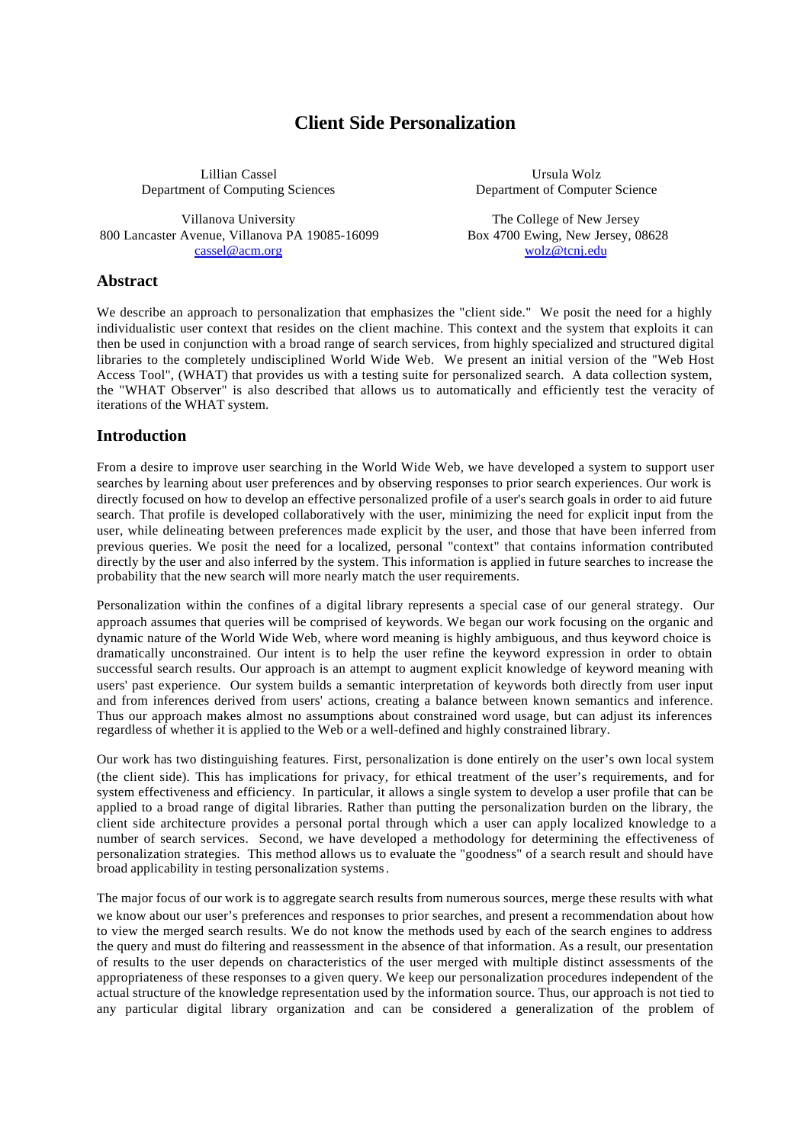# **Client Side Personalization**

Lillian Cassel Department of Computing Sciences

Villanova University 800 Lancaster Avenue, Villanova PA 19085-16099 cassel@acm.org

Ursula Wolz Department of Computer Science

The College of New Jersey Box 4700 Ewing, New Jersey, 08628 wolz@tcnj.edu

#### **Abstract**

We describe an approach to personalization that emphasizes the "client side." We posit the need for a highly individualistic user context that resides on the client machine. This context and the system that exploits it can then be used in conjunction with a broad range of search services, from highly specialized and structured digital libraries to the completely undisciplined World Wide Web. We present an initial version of the "Web Host Access Tool", (WHAT) that provides us with a testing suite for personalized search. A data collection system, the "WHAT Observer" is also described that allows us to automatically and efficiently test the veracity of iterations of the WHAT system.

#### **Introduction**

From a desire to improve user searching in the World Wide Web, we have developed a system to support user searches by learning about user preferences and by observing responses to prior search experiences. Our work is directly focused on how to develop an effective personalized profile of a user's search goals in order to aid future search. That profile is developed collaboratively with the user, minimizing the need for explicit input from the user, while delineating between preferences made explicit by the user, and those that have been inferred from previous queries. We posit the need for a localized, personal "context" that contains information contributed directly by the user and also inferred by the system. This information is applied in future searches to increase the probability that the new search will more nearly match the user requirements.

Personalization within the confines of a digital library represents a special case of our general strategy. Our approach assumes that queries will be comprised of keywords. We began our work focusing on the organic and dynamic nature of the World Wide Web, where word meaning is highly ambiguous, and thus keyword choice is dramatically unconstrained. Our intent is to help the user refine the keyword expression in order to obtain successful search results. Our approach is an attempt to augment explicit knowledge of keyword meaning with users' past experience. Our system builds a semantic interpretation of keywords both directly from user input and from inferences derived from users' actions, creating a balance between known semantics and inference. Thus our approach makes almost no assumptions about constrained word usage, but can adjust its inferences regardless of whether it is applied to the Web or a well-defined and highly constrained library.

Our work has two distinguishing features. First, personalization is done entirely on the user's own local system (the client side). This has implications for privacy, for ethical treatment of the user's requirements, and for system effectiveness and efficiency. In particular, it allows a single system to develop a user profile that can be applied to a broad range of digital libraries. Rather than putting the personalization burden on the library, the client side architecture provides a personal portal through which a user can apply localized knowledge to a number of search services. Second, we have developed a methodology for determining the effectiveness of personalization strategies. This method allows us to evaluate the "goodness" of a search result and should have broad applicability in testing personalization systems*.*

The major focus of our work is to aggregate search results from numerous sources, merge these results with what we know about our user's preferences and responses to prior searches, and present a recommendation about how to view the merged search results. We do not know the methods used by each of the search engines to address the query and must do filtering and reassessment in the absence of that information. As a result, our presentation of results to the user depends on characteristics of the user merged with multiple distinct assessments of the appropriateness of these responses to a given query. We keep our personalization procedures independent of the actual structure of the knowledge representation used by the information source. Thus, our approach is not tied to any particular digital library organization and can be considered a generalization of the problem of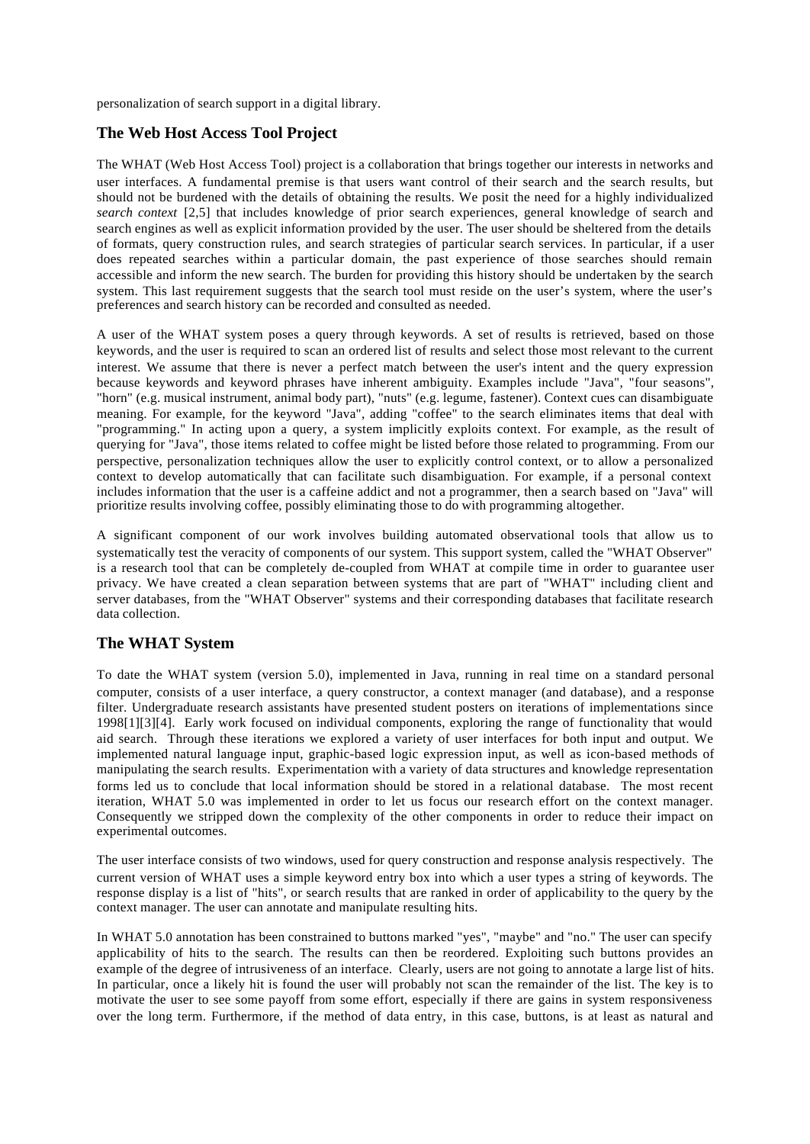personalization of search support in a digital library.

# **The Web Host Access Tool Project**

The WHAT (Web Host Access Tool) project is a collaboration that brings together our interests in networks and user interfaces. A fundamental premise is that users want control of their search and the search results, but should not be burdened with the details of obtaining the results. We posit the need for a highly individualized *search context* [2,5] that includes knowledge of prior search experiences, general knowledge of search and search engines as well as explicit information provided by the user. The user should be sheltered from the details of formats, query construction rules, and search strategies of particular search services. In particular, if a user does repeated searches within a particular domain, the past experience of those searches should remain accessible and inform the new search. The burden for providing this history should be undertaken by the search system. This last requirement suggests that the search tool must reside on the user's system, where the user's preferences and search history can be recorded and consulted as needed.

A user of the WHAT system poses a query through keywords. A set of results is retrieved, based on those keywords, and the user is required to scan an ordered list of results and select those most relevant to the current interest. We assume that there is never a perfect match between the user's intent and the query expression because keywords and keyword phrases have inherent ambiguity. Examples include "Java", "four seasons", "horn" (e.g. musical instrument, animal body part), "nuts" (e.g. legume, fastener). Context cues can disambiguate meaning. For example, for the keyword "Java", adding "coffee" to the search eliminates items that deal with "programming." In acting upon a query, a system implicitly exploits context. For example, as the result of querying for "Java", those items related to coffee might be listed before those related to programming. From our perspective, personalization techniques allow the user to explicitly control context, or to allow a personalized context to develop automatically that can facilitate such disambiguation. For example, if a personal context includes information that the user is a caffeine addict and not a programmer, then a search based on "Java" will prioritize results involving coffee, possibly eliminating those to do with programming altogether.

A significant component of our work involves building automated observational tools that allow us to systematically test the veracity of components of our system. This support system, called the "WHAT Observer" is a research tool that can be completely de-coupled from WHAT at compile time in order to guarantee user privacy. We have created a clean separation between systems that are part of "WHAT" including client and server databases, from the "WHAT Observer" systems and their corresponding databases that facilitate research data collection.

# **The WHAT System**

To date the WHAT system (version 5.0), implemented in Java, running in real time on a standard personal computer, consists of a user interface, a query constructor, a context manager (and database), and a response filter. Undergraduate research assistants have presented student posters on iterations of implementations since 1998[1][3][4]. Early work focused on individual components, exploring the range of functionality that would aid search. Through these iterations we explored a variety of user interfaces for both input and output. We implemented natural language input, graphic-based logic expression input, as well as icon-based methods of manipulating the search results. Experimentation with a variety of data structures and knowledge representation forms led us to conclude that local information should be stored in a relational database. The most recent iteration, WHAT 5.0 was implemented in order to let us focus our research effort on the context manager. Consequently we stripped down the complexity of the other components in order to reduce their impact on experimental outcomes.

The user interface consists of two windows, used for query construction and response analysis respectively. The current version of WHAT uses a simple keyword entry box into which a user types a string of keywords. The response display is a list of "hits", or search results that are ranked in order of applicability to the query by the context manager. The user can annotate and manipulate resulting hits.

In WHAT 5.0 annotation has been constrained to buttons marked "yes", "maybe" and "no." The user can specify applicability of hits to the search. The results can then be reordered. Exploiting such buttons provides an example of the degree of intrusiveness of an interface. Clearly, users are not going to annotate a large list of hits. In particular, once a likely hit is found the user will probably not scan the remainder of the list. The key is to motivate the user to see some payoff from some effort, especially if there are gains in system responsiveness over the long term. Furthermore, if the method of data entry, in this case, buttons, is at least as natural and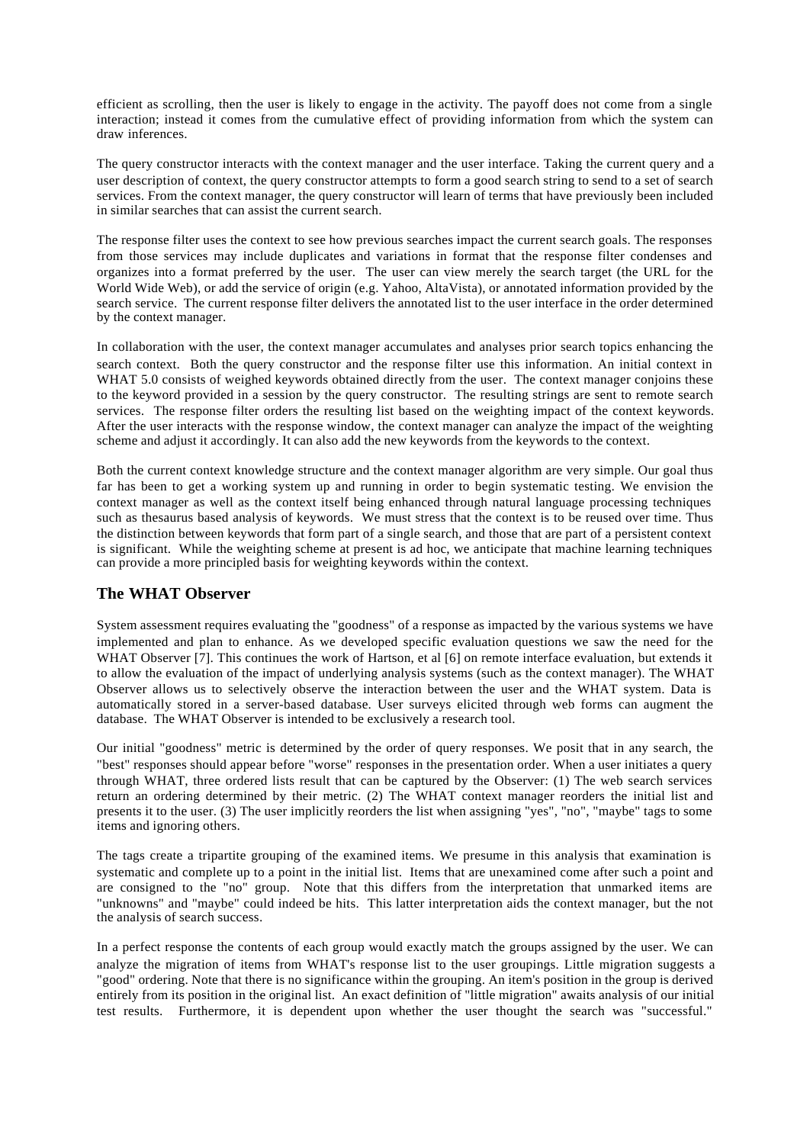efficient as scrolling, then the user is likely to engage in the activity. The payoff does not come from a single interaction; instead it comes from the cumulative effect of providing information from which the system can draw inferences.

The query constructor interacts with the context manager and the user interface. Taking the current query and a user description of context, the query constructor attempts to form a good search string to send to a set of search services. From the context manager, the query constructor will learn of terms that have previously been included in similar searches that can assist the current search.

The response filter uses the context to see how previous searches impact the current search goals. The responses from those services may include duplicates and variations in format that the response filter condenses and organizes into a format preferred by the user. The user can view merely the search target (the URL for the World Wide Web), or add the service of origin (e.g. Yahoo, AltaVista), or annotated information provided by the search service. The current response filter delivers the annotated list to the user interface in the order determined by the context manager.

In collaboration with the user, the context manager accumulates and analyses prior search topics enhancing the search context. Both the query constructor and the response filter use this information. An initial context in WHAT 5.0 consists of weighed keywords obtained directly from the user. The context manager conjoins these to the keyword provided in a session by the query constructor. The resulting strings are sent to remote search services. The response filter orders the resulting list based on the weighting impact of the context keywords. After the user interacts with the response window, the context manager can analyze the impact of the weighting scheme and adjust it accordingly. It can also add the new keywords from the keywords to the context.

Both the current context knowledge structure and the context manager algorithm are very simple. Our goal thus far has been to get a working system up and running in order to begin systematic testing. We envision the context manager as well as the context itself being enhanced through natural language processing techniques such as thesaurus based analysis of keywords. We must stress that the context is to be reused over time. Thus the distinction between keywords that form part of a single search, and those that are part of a persistent context is significant. While the weighting scheme at present is ad hoc, we anticipate that machine learning techniques can provide a more principled basis for weighting keywords within the context.

# **The WHAT Observer**

System assessment requires evaluating the "goodness" of a response as impacted by the various systems we have implemented and plan to enhance. As we developed specific evaluation questions we saw the need for the WHAT Observer [7]. This continues the work of Hartson, et al [6] on remote interface evaluation, but extends it to allow the evaluation of the impact of underlying analysis systems (such as the context manager). The WHAT Observer allows us to selectively observe the interaction between the user and the WHAT system. Data is automatically stored in a server-based database. User surveys elicited through web forms can augment the database. The WHAT Observer is intended to be exclusively a research tool.

Our initial "goodness" metric is determined by the order of query responses. We posit that in any search, the "best" responses should appear before "worse" responses in the presentation order. When a user initiates a query through WHAT, three ordered lists result that can be captured by the Observer: (1) The web search services return an ordering determined by their metric. (2) The WHAT context manager reorders the initial list and presents it to the user. (3) The user implicitly reorders the list when assigning "yes", "no", "maybe" tags to some items and ignoring others.

The tags create a tripartite grouping of the examined items. We presume in this analysis that examination is systematic and complete up to a point in the initial list. Items that are unexamined come after such a point and are consigned to the "no" group. Note that this differs from the interpretation that unmarked items are "unknowns" and "maybe" could indeed be hits. This latter interpretation aids the context manager, but the not the analysis of search success.

In a perfect response the contents of each group would exactly match the groups assigned by the user. We can analyze the migration of items from WHAT's response list to the user groupings. Little migration suggests a "good" ordering. Note that there is no significance within the grouping. An item's position in the group is derived entirely from its position in the original list. An exact definition of "little migration" awaits analysis of our initial test results. Furthermore, it is dependent upon whether the user thought the search was "successful."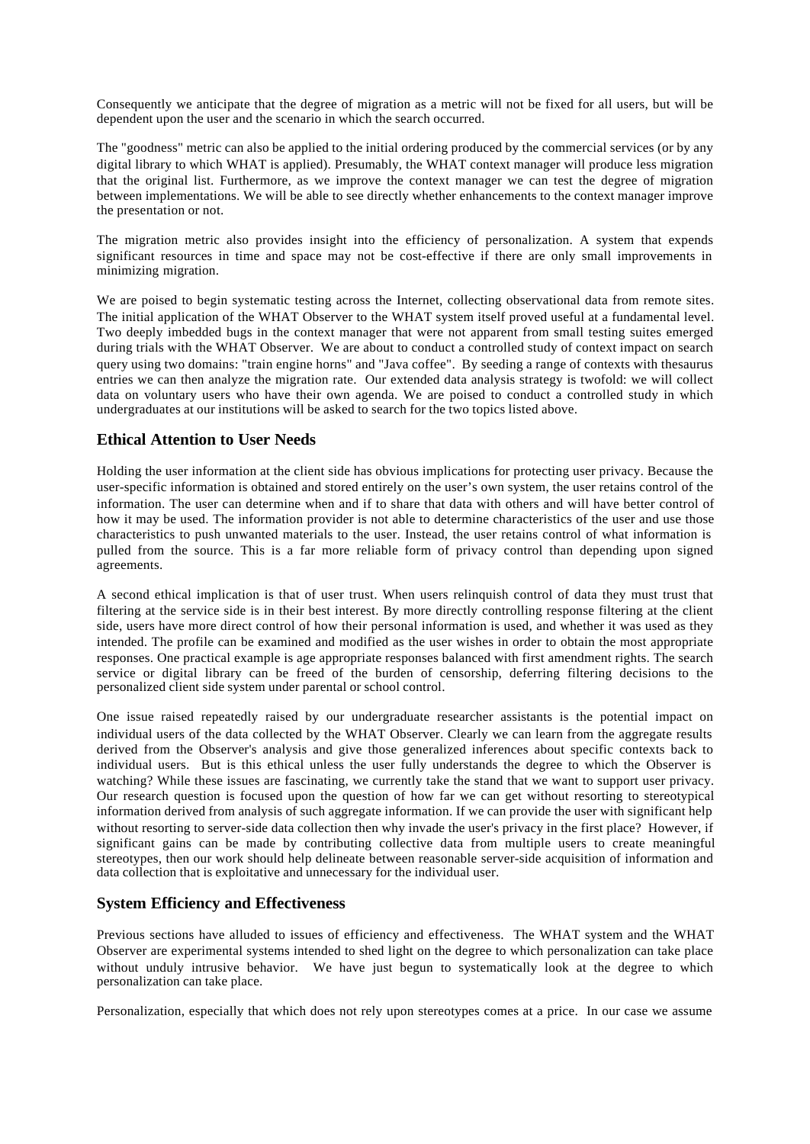Consequently we anticipate that the degree of migration as a metric will not be fixed for all users, but will be dependent upon the user and the scenario in which the search occurred.

The "goodness" metric can also be applied to the initial ordering produced by the commercial services (or by any digital library to which WHAT is applied). Presumably, the WHAT context manager will produce less migration that the original list. Furthermore, as we improve the context manager we can test the degree of migration between implementations. We will be able to see directly whether enhancements to the context manager improve the presentation or not.

The migration metric also provides insight into the efficiency of personalization. A system that expends significant resources in time and space may not be cost-effective if there are only small improvements in minimizing migration.

We are poised to begin systematic testing across the Internet, collecting observational data from remote sites. The initial application of the WHAT Observer to the WHAT system itself proved useful at a fundamental level. Two deeply imbedded bugs in the context manager that were not apparent from small testing suites emerged during trials with the WHAT Observer. We are about to conduct a controlled study of context impact on search query using two domains: "train engine horns" and "Java coffee". By seeding a range of contexts with thesaurus entries we can then analyze the migration rate. Our extended data analysis strategy is twofold: we will collect data on voluntary users who have their own agenda. We are poised to conduct a controlled study in which undergraduates at our institutions will be asked to search for the two topics listed above.

# **Ethical Attention to User Needs**

Holding the user information at the client side has obvious implications for protecting user privacy. Because the user-specific information is obtained and stored entirely on the user's own system, the user retains control of the information. The user can determine when and if to share that data with others and will have better control of how it may be used. The information provider is not able to determine characteristics of the user and use those characteristics to push unwanted materials to the user. Instead, the user retains control of what information is pulled from the source. This is a far more reliable form of privacy control than depending upon signed agreements.

A second ethical implication is that of user trust. When users relinquish control of data they must trust that filtering at the service side is in their best interest. By more directly controlling response filtering at the client side, users have more direct control of how their personal information is used, and whether it was used as they intended. The profile can be examined and modified as the user wishes in order to obtain the most appropriate responses. One practical example is age appropriate responses balanced with first amendment rights. The search service or digital library can be freed of the burden of censorship, deferring filtering decisions to the personalized client side system under parental or school control.

One issue raised repeatedly raised by our undergraduate researcher assistants is the potential impact on individual users of the data collected by the WHAT Observer. Clearly we can learn from the aggregate results derived from the Observer's analysis and give those generalized inferences about specific contexts back to individual users. But is this ethical unless the user fully understands the degree to which the Observer is watching? While these issues are fascinating, we currently take the stand that we want to support user privacy. Our research question is focused upon the question of how far we can get without resorting to stereotypical information derived from analysis of such aggregate information. If we can provide the user with significant help without resorting to server-side data collection then why invade the user's privacy in the first place? However, if significant gains can be made by contributing collective data from multiple users to create meaningful stereotypes, then our work should help delineate between reasonable server-side acquisition of information and data collection that is exploitative and unnecessary for the individual user.

# **System Efficiency and Effectiveness**

Previous sections have alluded to issues of efficiency and effectiveness. The WHAT system and the WHAT Observer are experimental systems intended to shed light on the degree to which personalization can take place without unduly intrusive behavior. We have just begun to systematically look at the degree to which personalization can take place.

Personalization, especially that which does not rely upon stereotypes comes at a price. In our case we assume